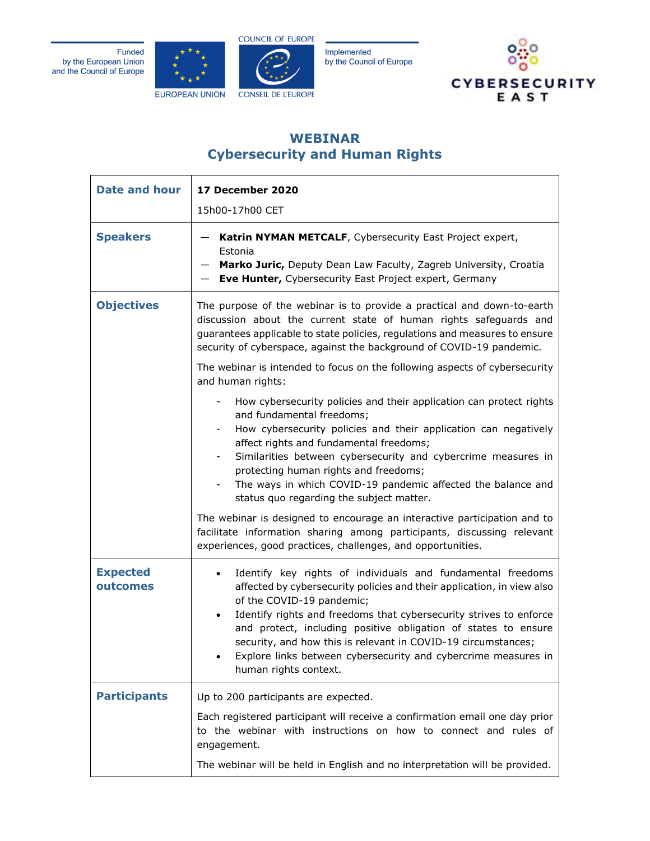Funded by the European Union and the Council of Europe



**COUNCIL OF EUROPE** 

**CONSEIL DE L'EUROPE** 

Implemented by the Council of Europe



## **WEBINAR Cybersecurity and Human Rights**

| <b>Date and hour</b>        | 17 December 2020                                                                                                                                                                                                                                                                                                                                                                                                                                                                                                                                                                           |
|-----------------------------|--------------------------------------------------------------------------------------------------------------------------------------------------------------------------------------------------------------------------------------------------------------------------------------------------------------------------------------------------------------------------------------------------------------------------------------------------------------------------------------------------------------------------------------------------------------------------------------------|
|                             | 15h00-17h00 CET                                                                                                                                                                                                                                                                                                                                                                                                                                                                                                                                                                            |
| <b>Speakers</b>             | Katrin NYMAN METCALF, Cybersecurity East Project expert,<br>Estonia<br>Marko Juric, Deputy Dean Law Faculty, Zagreb University, Croatia<br>Eve Hunter, Cybersecurity East Project expert, Germany                                                                                                                                                                                                                                                                                                                                                                                          |
| <b>Objectives</b>           | The purpose of the webinar is to provide a practical and down-to-earth<br>discussion about the current state of human rights safeguards and<br>guarantees applicable to state policies, regulations and measures to ensure<br>security of cyberspace, against the background of COVID-19 pandemic.<br>The webinar is intended to focus on the following aspects of cybersecurity<br>and human rights:                                                                                                                                                                                      |
|                             | How cybersecurity policies and their application can protect rights<br>and fundamental freedoms;<br>How cybersecurity policies and their application can negatively<br>affect rights and fundamental freedoms;<br>Similarities between cybersecurity and cybercrime measures in<br>protecting human rights and freedoms;<br>The ways in which COVID-19 pandemic affected the balance and<br>status quo regarding the subject matter.<br>The webinar is designed to encourage an interactive participation and to<br>facilitate information sharing among participants, discussing relevant |
| <b>Expected</b><br>outcomes | experiences, good practices, challenges, and opportunities.<br>Identify key rights of individuals and fundamental freedoms<br>$\bullet$<br>affected by cybersecurity policies and their application, in view also<br>of the COVID-19 pandemic;<br>Identify rights and freedoms that cybersecurity strives to enforce<br>$\bullet$<br>and protect, including positive obligation of states to ensure<br>security, and how this is relevant in COVID-19 circumstances;<br>Explore links between cybersecurity and cybercrime measures in<br>human rights context.                            |
| <b>Participants</b>         | Up to 200 participants are expected.<br>Each registered participant will receive a confirmation email one day prior<br>to the webinar with instructions on how to connect and rules of<br>engagement.<br>The webinar will be held in English and no interpretation will be provided.                                                                                                                                                                                                                                                                                                       |